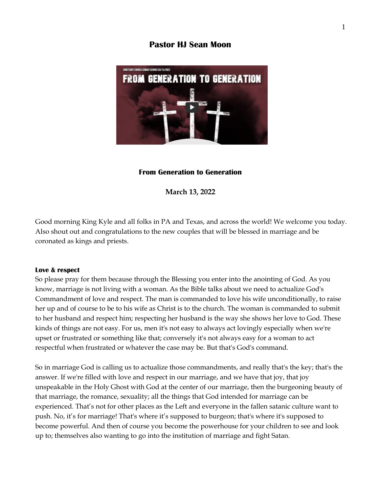# **Pastor HJ Sean Moon**



#### **From Generation to Generation**

**March 13, 2022** 

Good morning King Kyle and all folks in PA and Texas, and across the world! We welcome you today. Also shout out and congratulations to the new couples that will be blessed in marriage and be coronated as kings and priests.

#### **Love & respect**

So please pray for them because through the Blessing you enter into the anointing of God. As you know, marriage is not living with a woman. As the Bible talks about we need to actualize God's Commandment of love and respect. The man is commanded to love his wife unconditionally, to raise her up and of course to be to his wife as Christ is to the church. The woman is commanded to submit to her husband and respect him; respecting her husband is the way she shows her love to God. These kinds of things are not easy. For us, men it's not easy to always act lovingly especially when we're upset or frustrated or something like that; conversely it's not always easy for a woman to act respectful when frustrated or whatever the case may be. But that's God's command.

So in marriage God is calling us to actualize those commandments, and really that's the key; that's the answer. If we're filled with love and respect in our marriage, and we have that joy, that joy unspeakable in the Holy Ghost with God at the center of our marriage, then the burgeoning beauty of that marriage, the romance, sexuality; all the things that God intended for marriage can be experienced. That's not for other places as the Left and everyone in the fallen satanic culture want to push. No, it's for marriage! That's where it's supposed to burgeon; that's where it's supposed to become powerful. And then of course you become the powerhouse for your children to see and look up to; themselves also wanting to go into the institution of marriage and fight Satan.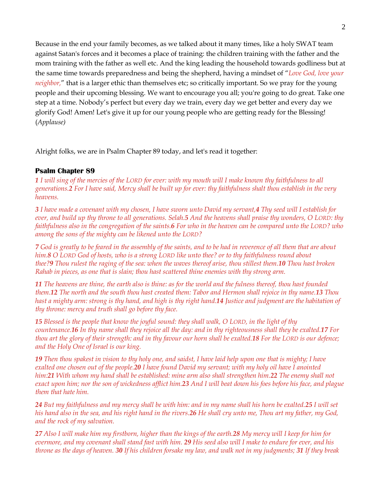Because in the end your family becomes, as we talked about it many times, like a holy SWAT team against Satan's forces and it becomes a place of training: the children training with the father and the mom training with the father as well etc. And the king leading the household towards godliness but at the same time towards preparedness and being the shepherd, having a mindset of "*Love God, love your neighbor,*" that is a larger ethic than themselves etc; so critically important. So we pray for the young people and their upcoming blessing. We want to encourage you all; you're going to do great. Take one step at a time. Nobody's perfect but every day we train, every day we get better and every day we glorify God! Amen! Let's give it up for our young people who are getting ready for the Blessing! (*Applause)*

Alright folks, we are in Psalm Chapter 89 today, and let's read it together:

### **Psalm Chapter 89**

*1 I will sing of the mercies of the LORD for ever: with my mouth will I make known thy faithfulness to all generations.2 For I have said, Mercy shall be built up for ever: thy faithfulness shalt thou establish in the very heavens.*

*3 I have made a covenant with my chosen, I have sworn unto David my servant,4 Thy seed will I establish for ever, and build up thy throne to all generations. Selah.5 And the heavens shall praise thy wonders, O LORD: thy faithfulness also in the congregation of the saints.6 For who in the heaven can be compared unto the LORD? who among the sons of the mighty can be likened unto the LORD?*

*7 God is greatly to be feared in the assembly of the saints, and to be had in reverence of all them that are about him.8 O LORD God of hosts, who is a strong LORD like unto thee? or to thy faithfulness round about thee?9 Thou rulest the raging of the sea: when the waves thereof arise, thou stillest them.10 Thou hast broken Rahab in pieces, as one that is slain; thou hast scattered thine enemies with thy strong arm.*

*11 The heavens are thine, the earth also is thine: as for the world and the fulness thereof, thou hast founded them.12 The north and the south thou hast created them: Tabor and Hermon shall rejoice in thy name.13 Thou hast a mighty arm: strong is thy hand, and high is thy right hand.14 Justice and judgment are the habitation of thy throne: mercy and truth shall go before thy face.*

*15 Blessed is the people that know the joyful sound: they shall walk, O LORD, in the light of thy countenance.16 In thy name shall they rejoice all the day: and in thy righteousness shall they be exalted.17 For thou art the glory of their strength: and in thy favour our horn shall be exalted.18 For the LORD is our defence; and the Holy One of Israel is our king.*

*19 Then thou spakest in vision to thy holy one, and saidst, I have laid help upon one that is mighty; I have exalted one chosen out of the people.20 I have found David my servant; with my holy oil have I anointed him:21 With whom my hand shall be established: mine arm also shall strengthen him.22 The enemy shall not exact upon him; nor the son of wickedness afflict him.23 And I will beat down his foes before his face, and plague them that hate him.*

*24 But my faithfulness and my mercy shall be with him: and in my name shall his horn be exalted.25 I will set his hand also in the sea, and his right hand in the rivers.26 He shall cry unto me, Thou art my father, my God, and the rock of my salvation.*

*27 Also I will make him my firstborn, higher than the kings of the earth.28 My mercy will I keep for him for evermore, and my covenant shall stand fast with him. 29 His seed also will I make to endure for ever, and his throne as the days of heaven. 30 If his children forsake my law, and walk not in my judgments; 31 If they break*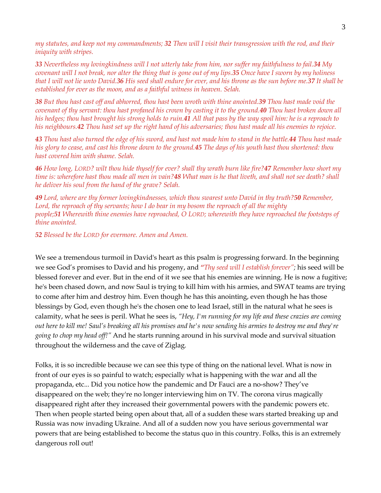*my statutes, and keep not my commandments; 32 Then will I visit their transgression with the rod, and their iniquity with stripes.*

*33 Nevertheless my lovingkindness will I not utterly take from him, nor suffer my faithfulness to fail.34 My covenant will I not break, nor alter the thing that is gone out of my lips.35 Once have I sworn by my holiness that I will not lie unto David.36 His seed shall endure for ever, and his throne as the sun before me.37 It shall be established for ever as the moon, and as a faithful witness in heaven. Selah.*

*38 But thou hast cast off and abhorred, thou hast been wroth with thine anointed.39 Thou hast made void the covenant of thy servant: thou hast profaned his crown by casting it to the ground.40 Thou hast broken down all his hedges; thou hast brought his strong holds to ruin.41 All that pass by the way spoil him: he is a reproach to his neighbours.42 Thou hast set up the right hand of his adversaries; thou hast made all his enemies to rejoice.* 

*43 Thou hast also turned the edge of his sword, and hast not made him to stand in the battle.44 Thou hast made his glory to cease, and cast his throne down to the ground.45 The days of his youth hast thou shortened: thou hast covered him with shame. Selah.*

*46 How long, LORD? wilt thou hide thyself for ever? shall thy wrath burn like fire?47 Remember how short my time is: wherefore hast thou made all men in vain?48 What man is he that liveth, and shall not see death? shall he deliver his soul from the hand of the grave? Selah.*

*49 Lord, where are thy former lovingkindnesses, which thou swarest unto David in thy truth?50 Remember,*  Lord, the reproach of thy servants; how I do bear in my bosom the reproach of all the mighty *people;51 Wherewith thine enemies have reproached, O LORD; wherewith they have reproached the footsteps of thine anointed.* 

*52 Blessed be the LORD for evermore. Amen and Amen.* 

We see a tremendous turmoil in David's heart as this psalm is progressing forward. In the beginning we see God's promises to David and his progeny, and *"Thy seed will I establish forever";* his seed will be blessed forever and ever. But in the end of it we see that his enemies are winning. He is now a fugitive; he's been chased down, and now Saul is trying to kill him with his armies, and SWAT teams are trying to come after him and destroy him. Even though he has this anointing, even though he has those blessings by God, even though he's the chosen one to lead Israel, still in the natural what he sees is calamity, what he sees is peril. What he sees is, *"Hey, I'm running for my life and these crazies are coming out here to kill me! Saul's breaking all his promises and he's now sending his armies to destroy me and they're going to chop my head off!"* And he starts running around in his survival mode and survival situation throughout the wilderness and the cave of Ziglag.

Folks, it is so incredible because we can see this type of thing on the national level. What is now in front of our eyes is so painful to watch; especially what is happening with the war and all the propaganda, etc... Did you notice how the pandemic and Dr Fauci are a no-show? They've disappeared on the web; they're no longer interviewing him on TV. The corona virus magically disappeared right after they increased their governmental powers with the pandemic powers etc. Then when people started being open about that, all of a sudden these wars started breaking up and Russia was now invading Ukraine. And all of a sudden now you have serious governmental war powers that are being established to become the status quo in this country. Folks, this is an extremely dangerous roll out!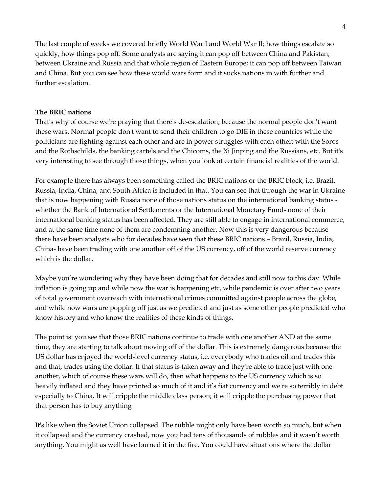The last couple of weeks we covered briefly World War I and World War II; how things escalate so quickly, how things pop off. Some analysts are saying it can pop off between China and Pakistan, between Ukraine and Russia and that whole region of Eastern Europe; it can pop off between Taiwan and China. But you can see how these world wars form and it sucks nations in with further and further escalation.

## **The BRIC nations**

That's why of course we're praying that there's de-escalation, because the normal people don't want these wars. Normal people don't want to send their children to go DIE in these countries while the politicians are fighting against each other and are in power struggles with each other; with the Soros and the Rothschilds, the banking cartels and the Chicoms, the Xi Jinping and the Russians, etc. But it's very interesting to see through those things, when you look at certain financial realities of the world.

For example there has always been something called the BRIC nations or the BRIC block, i.e. Brazil, Russia, India, China, and South Africa is included in that. You can see that through the war in Ukraine that is now happening with Russia none of those nations status on the international banking status whether the Bank of International Settlements or the International Monetary Fund- none of their international banking status has been affected. They are still able to engage in international commerce, and at the same time none of them are condemning another. Now this is very dangerous because there have been analysts who for decades have seen that these BRIC nations – Brazil, Russia, India, China- have been trading with one another off of the US currency, off of the world reserve currency which is the dollar.

Maybe you're wondering why they have been doing that for decades and still now to this day. While inflation is going up and while now the war is happening etc, while pandemic is over after two years of total government overreach with international crimes committed against people across the globe, and while now wars are popping off just as we predicted and just as some other people predicted who know history and who know the realities of these kinds of things.

The point is: you see that those BRIC nations continue to trade with one another AND at the same time, they are starting to talk about moving off of the dollar. This is extremely dangerous because the US dollar has enjoyed the world-level currency status, i.e. everybody who trades oil and trades this and that, trades using the dollar. If that status is taken away and they're able to trade just with one another, which of course these wars will do, then what happens to the US currency which is so heavily inflated and they have printed so much of it and it's fiat currency and we're so terribly in debt especially to China. It will cripple the middle class person; it will cripple the purchasing power that that person has to buy anything

It's like when the Soviet Union collapsed. The rubble might only have been worth so much, but when it collapsed and the currency crashed, now you had tens of thousands of rubbles and it wasn't worth anything. You might as well have burned it in the fire. You could have situations where the dollar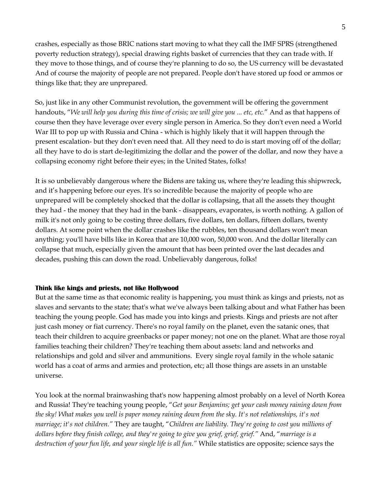crashes, especially as those BRIC nations start moving to what they call the IMF SPRS (strengthened poverty reduction strategy), special drawing rights basket of currencies that they can trade with. If they move to those things, and of course they're planning to do so, the US currency will be devastated And of course the majority of people are not prepared. People don't have stored up food or ammos or things like that; they are unprepared.

So, just like in any other Communist revolution, the government will be offering the government handouts, "*We will help you during this time of crisis; we will give you ... etc, etc.*" And as that happens of course then they have leverage over every single person in America. So they don't even need a World War III to pop up with Russia and China - which is highly likely that it will happen through the present escalation- but they don't even need that. All they need to do is start moving off of the dollar; all they have to do is start de-legitimizing the dollar and the power of the dollar, and now they have a collapsing economy right before their eyes; in the United States, folks!

It is so unbelievably dangerous where the Bidens are taking us, where they're leading this shipwreck, and it's happening before our eyes. It's so incredible because the majority of people who are unprepared will be completely shocked that the dollar is collapsing, that all the assets they thought they had - the money that they had in the bank - disappears, evaporates, is worth nothing. A gallon of milk it's not only going to be costing three dollars, five dollars, ten dollars, fifteen dollars, twenty dollars. At some point when the dollar crashes like the rubbles, ten thousand dollars won't mean anything; you'll have bills like in Korea that are 10,000 won, 50,000 won. And the dollar literally can collapse that much, especially given the amount that has been printed over the last decades and decades, pushing this can down the road. Unbelievably dangerous, folks!

### **Think like kings and priests, not like Hollywood**

But at the same time as that economic reality is happening, you must think as kings and priests, not as slaves and servants to the state; that's what we've always been talking about and what Father has been teaching the young people. God has made you into kings and priests. Kings and priests are not after just cash money or fiat currency. There's no royal family on the planet, even the satanic ones, that teach their children to acquire greenbacks or paper money; not one on the planet. What are those royal families teaching their children? They're teaching them about assets: land and networks and relationships and gold and silver and ammunitions. Every single royal family in the whole satanic world has a coat of arms and armies and protection, etc; all those things are assets in an unstable universe.

You look at the normal brainwashing that's now happening almost probably on a level of North Korea and Russia! They're teaching young people, "*Get your Benjamins; get your cash money raining down from the sky! What makes you well is paper money raining down from the sky. It's not relationships, it's not marriage; it's not children."* They are taught, "*Children are liability. They're going to cost you millions of dollars before they finish college, and they're going to give you grief, grief, grief."* And, "*marriage is a destruction of your fun life, and your single life is all fun."* While statistics are opposite; science says the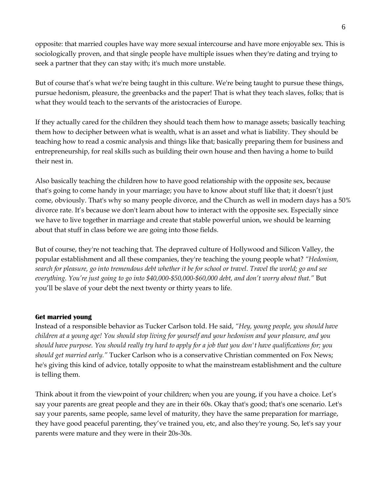opposite: that married couples have way more sexual intercourse and have more enjoyable sex. This is sociologically proven, and that single people have multiple issues when they're dating and trying to seek a partner that they can stay with; it's much more unstable.

But of course that's what we're being taught in this culture. We're being taught to pursue these things, pursue hedonism, pleasure, the greenbacks and the paper! That is what they teach slaves, folks; that is what they would teach to the servants of the aristocracies of Europe.

If they actually cared for the children they should teach them how to manage assets; basically teaching them how to decipher between what is wealth, what is an asset and what is liability. They should be teaching how to read a cosmic analysis and things like that; basically preparing them for business and entrepreneurship, for real skills such as building their own house and then having a home to build their nest in.

Also basically teaching the children how to have good relationship with the opposite sex, because that's going to come handy in your marriage; you have to know about stuff like that; it doesn't just come, obviously. That's why so many people divorce, and the Church as well in modern days has a 50% divorce rate. It's because we don't learn about how to interact with the opposite sex. Especially since we have to live together in marriage and create that stable powerful union, we should be learning about that stuff in class before we are going into those fields.

But of course, they're not teaching that. The depraved culture of Hollywood and Silicon Valley, the popular establishment and all these companies, they're teaching the young people what? *"Hedonism, search for pleasure, go into tremendous debt whether it be for school or travel. Travel the world; go and see everything. You're just going to go into \$40,000-\$50,000-\$60,000 debt, and don't worry about that."* But you'll be slave of your debt the next twenty or thirty years to life.

## **Get married young**

Instead of a responsible behavior as Tucker Carlson told. He said, *"Hey, young people, you should have children at a young age! You should stop living for yourself and your hedonism and your pleasure, and you should have purpose. You should really try hard to apply for a job that you don't have qualifications for; you should get married early."* Tucker Carlson who is a conservative Christian commented on Fox News; he's giving this kind of advice, totally opposite to what the mainstream establishment and the culture is telling them.

Think about it from the viewpoint of your children; when you are young, if you have a choice. Let's say your parents are great people and they are in their 60s. Okay that's good; that's one scenario. Let's say your parents, same people, same level of maturity, they have the same preparation for marriage, they have good peaceful parenting, they've trained you, etc, and also they're young. So, let's say your parents were mature and they were in their 20s-30s.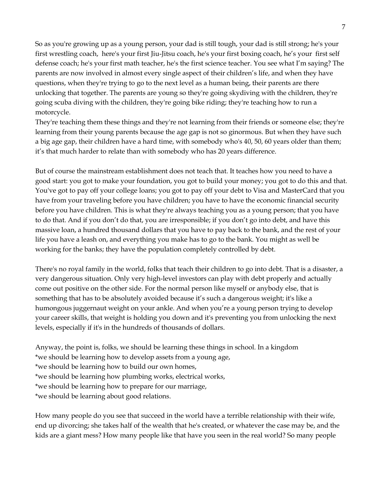So as you're growing up as a young person, your dad is still tough, your dad is still strong; he's your first wrestling coach, here's your first Jiu-Jitsu coach, he's your first boxing coach, he's your first self defense coach; he's your first math teacher, he's the first science teacher. You see what I'm saying? The parents are now involved in almost every single aspect of their children's life, and when they have questions, when they're trying to go to the next level as a human being, their parents are there unlocking that together. The parents are young so they're going skydiving with the children, they're going scuba diving with the children, they're going bike riding; they're teaching how to run a motorcycle.

They're teaching them these things and they're not learning from their friends or someone else; they're learning from their young parents because the age gap is not so ginormous. But when they have such a big age gap, their children have a hard time, with somebody who's 40, 50, 60 years older than them; it's that much harder to relate than with somebody who has 20 years difference.

But of course the mainstream establishment does not teach that. It teaches how you need to have a good start: you got to make your foundation, you got to build your money; you got to do this and that. You've got to pay off your college loans; you got to pay off your debt to Visa and MasterCard that you have from your traveling before you have children; you have to have the economic financial security before you have children. This is what they're always teaching you as a young person; that you have to do that. And if you don't do that, you are irresponsible; if you don't go into debt, and have this massive loan, a hundred thousand dollars that you have to pay back to the bank, and the rest of your life you have a leash on, and everything you make has to go to the bank. You might as well be working for the banks; they have the population completely controlled by debt.

There's no royal family in the world, folks that teach their children to go into debt. That is a disaster, a very dangerous situation. Only very high-level investors can play with debt properly and actually come out positive on the other side. For the normal person like myself or anybody else, that is something that has to be absolutely avoided because it's such a dangerous weight; it's like a humongous juggernaut weight on your ankle. And when you're a young person trying to develop your career skills, that weight is holding you down and it's preventing you from unlocking the next levels, especially if it's in the hundreds of thousands of dollars.

Anyway, the point is, folks, we should be learning these things in school. In a kingdom \*we should be learning how to develop assets from a young age, \*we should be learning how to build our own homes, \*we should be learning how plumbing works, electrical works, \*we should be learning how to prepare for our marriage, \*we should be learning about good relations.

How many people do you see that succeed in the world have a terrible relationship with their wife, end up divorcing; she takes half of the wealth that he's created, or whatever the case may be, and the kids are a giant mess? How many people like that have you seen in the real world? So many people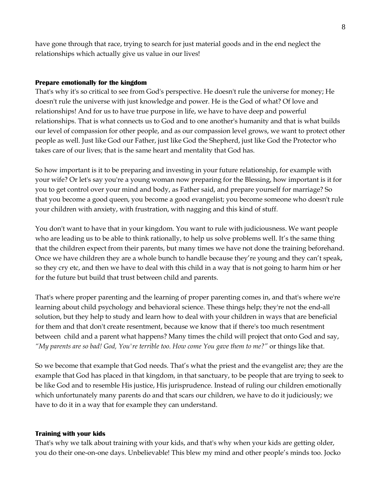have gone through that race, trying to search for just material goods and in the end neglect the relationships which actually give us value in our lives!

### **Prepare emotionally for the kingdom**

That's why it's so critical to see from God's perspective. He doesn't rule the universe for money; He doesn't rule the universe with just knowledge and power. He is the God of what? Of love and relationships! And for us to have true purpose in life, we have to have deep and powerful relationships. That is what connects us to God and to one another's humanity and that is what builds our level of compassion for other people, and as our compassion level grows, we want to protect other people as well. Just like God our Father, just like God the Shepherd, just like God the Protector who takes care of our lives; that is the same heart and mentality that God has.

So how important is it to be preparing and investing in your future relationship, for example with your wife? Or let's say you're a young woman now preparing for the Blessing, how important is it for you to get control over your mind and body, as Father said, and prepare yourself for marriage? So that you become a good queen, you become a good evangelist; you become someone who doesn't rule your children with anxiety, with frustration, with nagging and this kind of stuff.

You don't want to have that in your kingdom. You want to rule with judiciousness. We want people who are leading us to be able to think rationally, to help us solve problems well. It's the same thing that the children expect from their parents, but many times we have not done the training beforehand. Once we have children they are a whole bunch to handle because they're young and they can't speak, so they cry etc, and then we have to deal with this child in a way that is not going to harm him or her for the future but build that trust between child and parents.

That's where proper parenting and the learning of proper parenting comes in, and that's where we're learning about child psychology and behavioral science. These things help; they're not the end-all solution, but they help to study and learn how to deal with your children in ways that are beneficial for them and that don't create resentment, because we know that if there's too much resentment between child and a parent what happens? Many times the child will project that onto God and say, *"My parents are so bad! God, You're terrible too. How come You gave them to me?"* or things like that.

So we become that example that God needs. That's what the priest and the evangelist are; they are the example that God has placed in that kingdom, in that sanctuary, to be people that are trying to seek to be like God and to resemble His justice, His jurisprudence. Instead of ruling our children emotionally which unfortunately many parents do and that scars our children, we have to do it judiciously; we have to do it in a way that for example they can understand.

#### **Training with your kids**

That's why we talk about training with your kids, and that's why when your kids are getting older, you do their one-on-one days. Unbelievable! This blew my mind and other people's minds too. Jocko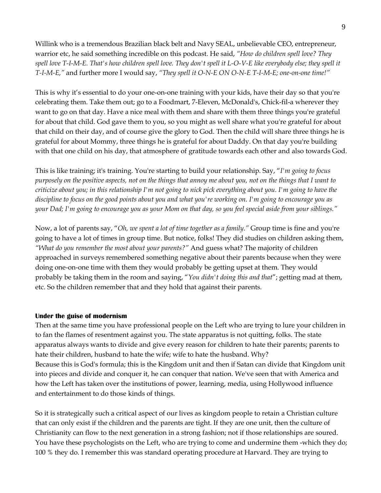Willink who is a tremendous Brazilian black belt and Navy SEAL, unbelievable CEO, entrepreneur, warrior etc, he said something incredible on this podcast. He said, *"How do children spell love? They spell love T-I-M-E. That's how children spell love. They don't spell it L-O-V-E like everybody else; they spell it T-I-M-E,"* and further more I would say, *"They spell it O-N-E ON O-N-E T-I-M-E; one-on-one time!"*

This is why it's essential to do your one-on-one training with your kids, have their day so that you're celebrating them. Take them out; go to a Foodmart, 7-Eleven, McDonald's, Chick-fil-a wherever they want to go on that day. Have a nice meal with them and share with them three things you're grateful for about that child. God gave them to you, so you might as well share what you're grateful for about that child on their day, and of course give the glory to God. Then the child will share three things he is grateful for about Mommy, three things he is grateful for about Daddy. On that day you're building with that one child on his day, that atmosphere of gratitude towards each other and also towards God.

This is like training; it's training. You're starting to build your relationship. Say, "*I'm going to focus purposely on the positive aspects, not on the things that annoy me about you, not on the things that I want to criticize about you; in this relationship I'm not going to nick pick everything about you. I'm going to have the discipline to focus on the good points about you and what you're working on. I'm going to encourage you as your Dad; I'm going to encourage you as your Mom on that day, so you feel special aside from your siblings."*

Now, a lot of parents say, "*Oh, we spent a lot of time together as a family."* Group time is fine and you're going to have a lot of times in group time. But notice, folks! They did studies on children asking them, *"What do you remember the most about your parents?"* And guess what? The majority of children approached in surveys remembered something negative about their parents because when they were doing one-on-one time with them they would probably be getting upset at them. They would probably be taking them in the room and saying, "*You didn't doing this and that*"; getting mad at them, etc. So the children remember that and they hold that against their parents.

### **Under the guise of modernism**

Then at the same time you have professional people on the Left who are trying to lure your children in to fan the flames of resentment against you. The state apparatus is not quitting, folks. The state apparatus always wants to divide and give every reason for children to hate their parents; parents to hate their children, husband to hate the wife; wife to hate the husband. Why? Because this is God's formula; this is the Kingdom unit and then if Satan can divide that Kingdom unit into pieces and divide and conquer it, he can conquer that nation. We've seen that with America and how the Left has taken over the institutions of power, learning, media, using Hollywood influence and entertainment to do those kinds of things.

So it is strategically such a critical aspect of our lives as kingdom people to retain a Christian culture that can only exist if the children and the parents are tight. If they are one unit, then the culture of Christianity can flow to the next generation in a strong fashion; not if those relationships are soured. You have these psychologists on the Left, who are trying to come and undermine them -which they do; 100 % they do. I remember this was standard operating procedure at Harvard. They are trying to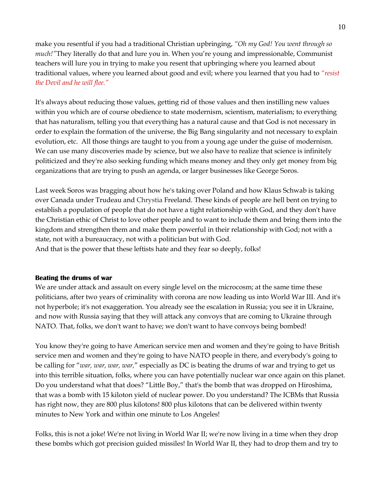make you resentful if you had a traditional Christian upbringing, *"Oh my God! You went through so much!"*They literally do that and lure you in. When you're young and impressionable, Communist teachers will lure you in trying to make you resent that upbringing where you learned about traditional values, where you learned about good and evil; where you learned that you had to *"resist the Devil and he will flee."*

It's always about reducing those values, getting rid of those values and then instilling new values within you which are of course obedience to state modernism, scientism, materialism; to everything that has naturalism, telling you that everything has a natural cause and that God is not necessary in order to explain the formation of the universe, the Big Bang singularity and not necessary to explain evolution, etc. All those things are taught to you from a young age under the guise of modernism. We can use many discoveries made by science, but we also have to realize that science is infinitely politicized and they're also seeking funding which means money and they only get money from big organizations that are trying to push an agenda, or larger businesses like George Soros.

Last week Soros was bragging about how he's taking over Poland and how Klaus Schwab is taking over Canada under Trudeau and Chrystia Freeland. These kinds of people are hell bent on trying to establish a population of people that do not have a tight relationship with God, and they don't have the Christian ethic of Christ to love other people and to want to include them and bring them into the kingdom and strengthen them and make them powerful in their relationship with God; not with a state, not with a bureaucracy, not with a politician but with God. And that is the power that these leftists hate and they fear so deeply, folks!

## **Beating the drums of war**

We are under attack and assault on every single level on the microcosm; at the same time these politicians, after two years of criminality with corona are now leading us into World War III. And it's not hyperbole; it's not exaggeration. You already see the escalation in Russia; you see it in Ukraine, and now with Russia saying that they will attack any convoys that are coming to Ukraine through NATO. That, folks, we don't want to have; we don't want to have convoys being bombed!

You know they're going to have American service men and women and they're going to have British service men and women and they're going to have NATO people in there, and everybody's going to be calling for "*war, war, war, war,*" especially as DC is beating the drums of war and trying to get us into this terrible situation, folks, where you can have potentially nuclear war once again on this planet. Do you understand what that does? "Little Boy," that's the bomb that was dropped on Hiroshima, that was a bomb with 15 kiloton yield of nuclear power. Do you understand? The ICBMs that Russia has right now, they are 800 plus kilotons! 800 plus kilotons that can be delivered within twenty minutes to New York and within one minute to Los Angeles!

Folks, this is not a joke! We're not living in World War II; we're now living in a time when they drop these bombs which got precision guided missiles! In World War II, they had to drop them and try to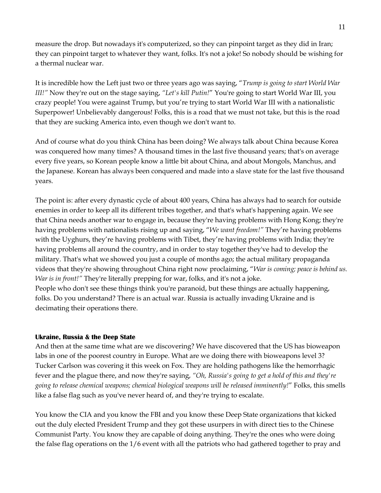measure the drop. But nowadays it's computerized, so they can pinpoint target as they did in Iran; they can pinpoint target to whatever they want, folks. It's not a joke! So nobody should be wishing for a thermal nuclear war.

It is incredible how the Left just two or three years ago was saying, "*Trump is going to start World War III!"* Now they're out on the stage saying, *"Let's kill Putin!*" You're going to start World War III, you crazy people! You were against Trump, but you're trying to start World War III with a nationalistic Superpower! Unbelievably dangerous! Folks, this is a road that we must not take, but this is the road that they are sucking America into, even though we don't want to.

And of course what do you think China has been doing? We always talk about China because Korea was conquered how many times? A thousand times in the last five thousand years; that's on average every five years, so Korean people know a little bit about China, and about Mongols, Manchus, and the Japanese. Korean has always been conquered and made into a slave state for the last five thousand years.

The point is: after every dynastic cycle of about 400 years, China has always had to search for outside enemies in order to keep all its different tribes together, and that's what's happening again. We see that China needs another war to engage in, because they're having problems with Hong Kong; they're having problems with nationalists rising up and saying, "*We want freedom!"* They're having problems with the Uyghurs, they're having problems with Tibet, they're having problems with India; they're having problems all around the country, and in order to stay together they've had to develop the military. That's what we showed you just a couple of months ago; the actual military propaganda videos that they're showing throughout China right now proclaiming, "*War is coming; peace is behind us. War is in front!"* They're literally prepping for war, folks, and it's not a joke. People who don't see these things think you're paranoid, but these things are actually happening, folks. Do you understand? There is an actual war. Russia is actually invading Ukraine and is decimating their operations there.

### **Ukraine, Russia & the Deep State**

And then at the same time what are we discovering? We have discovered that the US has bioweapon labs in one of the poorest country in Europe. What are we doing there with bioweapons level 3? Tucker Carlson was covering it this week on Fox. They are holding pathogens like the hemorrhagic fever and the plague there, and now they're saying, *"Oh, Russia's going to get a hold of this and they're going to release chemical weapons; chemical biological weapons will be released imminently!*" Folks, this smells like a false flag such as you've never heard of, and they're trying to escalate.

You know the CIA and you know the FBI and you know these Deep State organizations that kicked out the duly elected President Trump and they got these usurpers in with direct ties to the Chinese Communist Party. You know they are capable of doing anything. They're the ones who were doing the false flag operations on the 1/6 event with all the patriots who had gathered together to pray and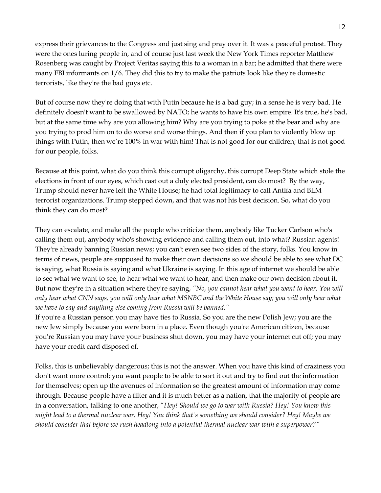express their grievances to the Congress and just sing and pray over it. It was a peaceful protest. They were the ones luring people in, and of course just last week the New York Times reporter Matthew Rosenberg was caught by Project Veritas saying this to a woman in a bar; he admitted that there were many FBI informants on 1/6. They did this to try to make the patriots look like they're domestic terrorists, like they're the bad guys etc.

But of course now they're doing that with Putin because he is a bad guy; in a sense he is very bad. He definitely doesn't want to be swallowed by NATO; he wants to have his own empire. It's true, he's bad, but at the same time why are you allowing him? Why are you trying to poke at the bear and why are you trying to prod him on to do worse and worse things. And then if you plan to violently blow up things with Putin, then we're 100% in war with him! That is not good for our children; that is not good for our people, folks.

Because at this point, what do you think this corrupt oligarchy, this corrupt Deep State which stole the elections in front of our eyes, which cast out a duly elected president, can do most? By the way, Trump should never have left the White House; he had total legitimacy to call Antifa and BLM terrorist organizations. Trump stepped down, and that was not his best decision. So, what do you think they can do most?

They can escalate, and make all the people who criticize them, anybody like Tucker Carlson who's calling them out, anybody who's showing evidence and calling them out, into what? Russian agents! They're already banning Russian news; you can't even see two sides of the story, folks. You know in terms of news, people are supposed to make their own decisions so we should be able to see what DC is saying, what Russia is saying and what Ukraine is saying. In this age of internet we should be able to see what we want to see, to hear what we want to hear, and then make our own decision about it. But now they're in a situation where they're saying, *"No, you cannot hear what you want to hear. You will only hear what CNN says, you will only hear what MSNBC and the White House say; you will only hear what we have to say and anything else coming from Russia will be banned."*

If you're a Russian person you may have ties to Russia. So you are the new Polish Jew; you are the new Jew simply because you were born in a place. Even though you're American citizen, because you're Russian you may have your business shut down, you may have your internet cut off; you may have your credit card disposed of.

Folks, this is unbelievably dangerous; this is not the answer. When you have this kind of craziness you don't want more control; you want people to be able to sort it out and try to find out the information for themselves; open up the avenues of information so the greatest amount of information may come through. Because people have a filter and it is much better as a nation, that the majority of people are in a conversation, talking to one another, "*Hey! Should we go to war with Russia? Hey! You know this might lead to a thermal nuclear war. Hey! You think that's something we should consider? Hey! Maybe we should consider that before we rush headlong into a potential thermal nuclear war with a superpower?"*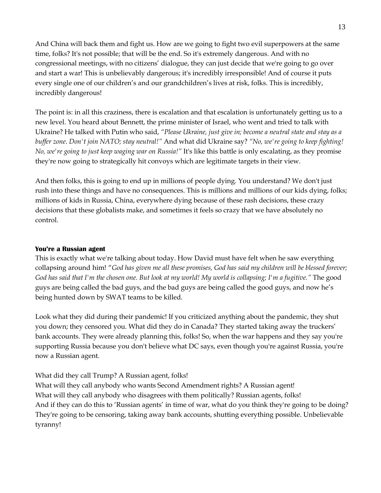And China will back them and fight us. How are we going to fight two evil superpowers at the same time, folks? It's not possible; that will be the end. So it's extremely dangerous. And with no congressional meetings, with no citizens' dialogue, they can just decide that we're going to go over and start a war! This is unbelievably dangerous; it's incredibly irresponsible! And of course it puts every single one of our children's and our grandchildren's lives at risk, folks. This is incredibly, incredibly dangerous!

The point is: in all this craziness, there is escalation and that escalation is unfortunately getting us to a new level. You heard about Bennett, the prime minister of Israel, who went and tried to talk with Ukraine? He talked with Putin who said, *"Please Ukraine, just give in; become a neutral state and stay as a buffer zone. Don't join NATO; stay neutral!"* And what did Ukraine say? *"No, we're going to keep fighting! No, we're going to just keep waging war on Russia!"* It's like this battle is only escalating, as they promise they're now going to strategically hit convoys which are legitimate targets in their view.

And then folks, this is going to end up in millions of people dying. You understand? We don't just rush into these things and have no consequences. This is millions and millions of our kids dying, folks; millions of kids in Russia, China, everywhere dying because of these rash decisions, these crazy decisions that these globalists make, and sometimes it feels so crazy that we have absolutely no control.

## **You're a Russian agent**

This is exactly what we're talking about today. How David must have felt when he saw everything collapsing around him! "*God has given me all these promises, God has said my children will be blessed forever; God has said that I'm the chosen one. But look at my world! My world is collapsing; I'm a fugitive."* The good guys are being called the bad guys, and the bad guys are being called the good guys, and now he's being hunted down by SWAT teams to be killed.

Look what they did during their pandemic! If you criticized anything about the pandemic, they shut you down; they censored you. What did they do in Canada? They started taking away the truckers' bank accounts. They were already planning this, folks! So, when the war happens and they say you're supporting Russia because you don't believe what DC says, even though you're against Russia, you're now a Russian agent.

What did they call Trump? A Russian agent, folks!

What will they call anybody who wants Second Amendment rights? A Russian agent! What will they call anybody who disagrees with them politically? Russian agents, folks! And if they can do this to 'Russian agents' in time of war, what do you think they're going to be doing? They're going to be censoring, taking away bank accounts, shutting everything possible. Unbelievable tyranny!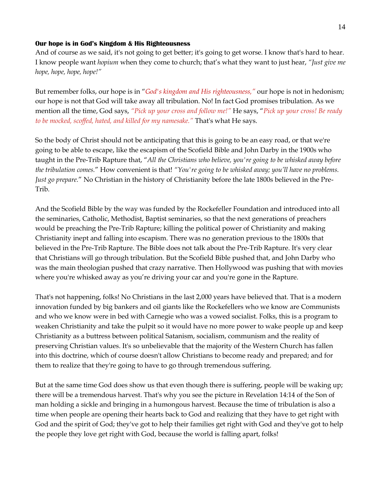### **Our hope is in God's Kingdom & His Righteousness**

And of course as we said, it's not going to get better; it's going to get worse. I know that's hard to hear. I know people want *hopium* when they come to church; that's what they want to just hear, *"Just give me hope, hope, hope, hope!"* 

But remember folks, our hope is in "*God's kingdom and His righteousness,"* our hope is not in hedonism; our hope is not that God will take away all tribulation. No! In fact God promises tribulation. As we mention all the time, God says, *"Pick up your cross and follow me!"* He says, "*Pick up your cross! Be ready to be mocked, scoffed, hated, and killed for my namesake."* That's what He says.

So the body of Christ should not be anticipating that this is going to be an easy road, or that we're going to be able to escape, like the escapism of the Scofield Bible and John Darby in the 1900s who taught in the Pre-Trib Rapture that, "*All the Christians who believe, you're going to be whisked away before the tribulation comes.*" How convenient is that! *"You're going to be whisked away; you'll have no problems. Just go prepare.*" No Christian in the history of Christianity before the late 1800s believed in the Pre-Trib.

And the Scofield Bible by the way was funded by the Rockefeller Foundation and introduced into all the seminaries, Catholic, Methodist, Baptist seminaries, so that the next generations of preachers would be preaching the Pre-Trib Rapture; killing the political power of Christianity and making Christianity inept and falling into escapism. There was no generation previous to the 1800s that believed in the Pre-Trib Rapture. The Bible does not talk about the Pre-Trib Rapture. It's very clear that Christians will go through tribulation. But the Scofield Bible pushed that, and John Darby who was the main theologian pushed that crazy narrative. Then Hollywood was pushing that with movies where you're whisked away as you're driving your car and you're gone in the Rapture.

That's not happening, folks! No Christians in the last 2,000 years have believed that. That is a modern innovation funded by big bankers and oil giants like the Rockefellers who we know are Communists and who we know were in bed with Carnegie who was a vowed socialist. Folks, this is a program to weaken Christianity and take the pulpit so it would have no more power to wake people up and keep Christianity as a buttress between political Satanism, socialism, communism and the reality of preserving Christian values. It's so unbelievable that the majority of the Western Church has fallen into this doctrine, which of course doesn't allow Christians to become ready and prepared; and for them to realize that they're going to have to go through tremendous suffering.

But at the same time God does show us that even though there is suffering, people will be waking up; there will be a tremendous harvest. That's why you see the picture in Revelation 14:14 of the Son of man holding a sickle and bringing in a humongous harvest. Because the time of tribulation is also a time when people are opening their hearts back to God and realizing that they have to get right with God and the spirit of God; they've got to help their families get right with God and they've got to help the people they love get right with God, because the world is falling apart, folks!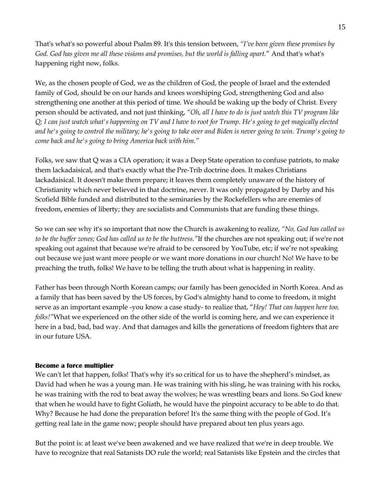That's what's so powerful about Psalm 89. It's this tension between, *"I've been given these promises by God. God has given me all these visions and promises, but the world is falling apart.*" And that's what's happening right now, folks.

We, as the chosen people of God, we as the children of God, the people of Israel and the extended family of God, should be on our hands and knees worshiping God, strengthening God and also strengthening one another at this period of time. We should be waking up the body of Christ. Every person should be activated, and not just thinking, *"Oh, all I have to do is just watch this TV program like Q; I can just watch what's happening on TV and I have to root for Trump. He's going to get magically elected and he's going to control the military; he's going to take over and Biden is never going to win. Trump's going to come back and he's going to bring America back with him."*

Folks, we saw that Q was a CIA operation; it was a Deep State operation to confuse patriots, to make them lackadaisical, and that's exactly what the Pre-Trib doctrine does. It makes Christians lackadaisical. It doesn't make them prepare; it leaves them completely unaware of the history of Christianity which never believed in that doctrine, never. It was only propagated by Darby and his Scofield Bible funded and distributed to the seminaries by the Rockefellers who are enemies of freedom, enemies of liberty; they are socialists and Communists that are funding these things.

So we can see why it's so important that now the Church is awakening to realize, *"No, God has called us to be the buffer zones; God has called us to be the buttress."*If the churches are not speaking out; if we're not speaking out against that because we're afraid to be censored by YouTube, etc; if we're not speaking out because we just want more people or we want more donations in our church! No! We have to be preaching the truth, folks! We have to be telling the truth about what is happening in reality.

Father has been through North Korean camps; our family has been genocided in North Korea. And as a family that has been saved by the US forces, by God's almighty hand to come to freedom, it might serve as an important example -you know a case study- to realize that, "*Hey! That can happen here too, folks!"*What we experienced on the other side of the world is coming here, and we can experience it here in a bad, bad, bad way. And that damages and kills the generations of freedom fighters that are in our future USA.

### **Become a force multiplier**

We can't let that happen, folks! That's why it's so critical for us to have the shepherd's mindset, as David had when he was a young man. He was training with his sling, he was training with his rocks, he was training with the rod to beat away the wolves; he was wrestling bears and lions. So God knew that when he would have to fight Goliath, he would have the pinpoint accuracy to be able to do that. Why? Because he had done the preparation before! It's the same thing with the people of God. It's getting real late in the game now; people should have prepared about ten plus years ago.

But the point is: at least we've been awakened and we have realized that we're in deep trouble. We have to recognize that real Satanists DO rule the world; real Satanists like Epstein and the circles that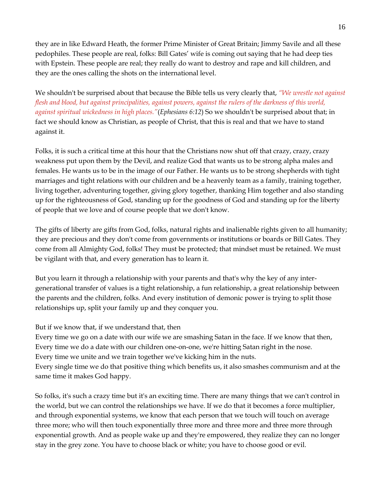they are in like Edward Heath, the former Prime Minister of Great Britain; Jimmy Savile and all these pedophiles. These people are real, folks: Bill Gates' wife is coming out saying that he had deep ties with Epstein. These people are real; they really do want to destroy and rape and kill children, and they are the ones calling the shots on the international level.

We shouldn't be surprised about that because the Bible tells us very clearly that, *"We wrestle not against flesh and blood, but against principalities, against powers, against the rulers of the darkness of this world, against spiritual wickedness in high places."*(*Ephesians 6:12*) So we shouldn't be surprised about that; in fact we should know as Christian, as people of Christ, that this is real and that we have to stand against it.

Folks, it is such a critical time at this hour that the Christians now shut off that crazy, crazy, crazy weakness put upon them by the Devil, and realize God that wants us to be strong alpha males and females. He wants us to be in the image of our Father. He wants us to be strong shepherds with tight marriages and tight relations with our children and be a heavenly team as a family, training together, living together, adventuring together, giving glory together, thanking Him together and also standing up for the righteousness of God, standing up for the goodness of God and standing up for the liberty of people that we love and of course people that we don't know.

The gifts of liberty are gifts from God, folks, natural rights and inalienable rights given to all humanity; they are precious and they don't come from governments or institutions or boards or Bill Gates. They come from all Almighty God, folks! They must be protected; that mindset must be retained. We must be vigilant with that, and every generation has to learn it.

But you learn it through a relationship with your parents and that's why the key of any intergenerational transfer of values is a tight relationship, a fun relationship, a great relationship between the parents and the children, folks. And every institution of demonic power is trying to split those relationships up, split your family up and they conquer you.

# But if we know that, if we understand that, then

same time it makes God happy.

Every time we go on a date with our wife we are smashing Satan in the face. If we know that then, Every time we do a date with our children one-on-one, we're hitting Satan right in the nose. Every time we unite and we train together we've kicking him in the nuts. Every single time we do that positive thing which benefits us, it also smashes communism and at the

So folks, it's such a crazy time but it's an exciting time. There are many things that we can't control in the world, but we can control the relationships we have. If we do that it becomes a force multiplier, and through exponential systems, we know that each person that we touch will touch on average three more; who will then touch exponentially three more and three more and three more through exponential growth. And as people wake up and they're empowered, they realize they can no longer stay in the grey zone. You have to choose black or white; you have to choose good or evil.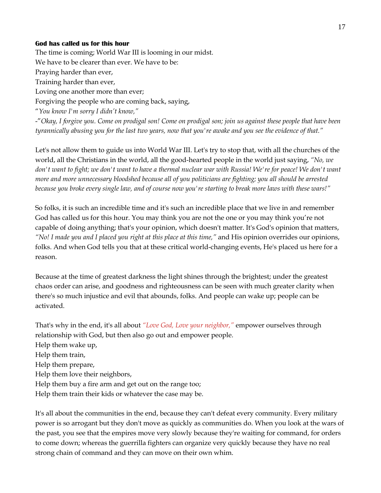#### **God has called us for this hour**

The time is coming; World War III is looming in our midst. We have to be clearer than ever. We have to be: Praying harder than ever, Training harder than ever, Loving one another more than ever; Forgiving the people who are coming back, saying, "*You know I'm sorry I didn't know,"* -"*Okay, I forgive you. Come on prodigal son! Come on prodigal son; join us against these people that have been tyrannically abusing you for the last two years, now that you're awake and you see the evidence of that."*

Let's not allow them to guide us into World War III. Let's try to stop that, with all the churches of the world, all the Christians in the world, all the good-hearted people in the world just saying, *"No, we don't want to fight; we don't want to have a thermal nuclear war with Russia! We're for peace! We don't want more and more unnecessary bloodshed because all of you politicians are fighting; you all should be arrested because you broke every single law, and of course now you're starting to break more laws with these wars!"*

So folks, it is such an incredible time and it's such an incredible place that we live in and remember God has called us for this hour. You may think you are not the one or you may think you're not capable of doing anything; that's your opinion, which doesn't matter. It's God's opinion that matters, *"No! I made you and I placed you right at this place at this time,"* and His opinion overrides our opinions, folks. And when God tells you that at these critical world-changing events, He's placed us here for a reason.

Because at the time of greatest darkness the light shines through the brightest; under the greatest chaos order can arise, and goodness and righteousness can be seen with much greater clarity when there's so much injustice and evil that abounds, folks. And people can wake up; people can be activated.

That's why in the end, it's all about *"Love God, Love your neighbor,"* empower ourselves through relationship with God, but then also go out and empower people. Help them wake up, Help them train, Help them prepare, Help them love their neighbors, Help them buy a fire arm and get out on the range too; Help them train their kids or whatever the case may be.

It's all about the communities in the end, because they can't defeat every community. Every military power is so arrogant but they don't move as quickly as communities do. When you look at the wars of the past, you see that the empires move very slowly because they're waiting for command, for orders to come down; whereas the guerrilla fighters can organize very quickly because they have no real strong chain of command and they can move on their own whim.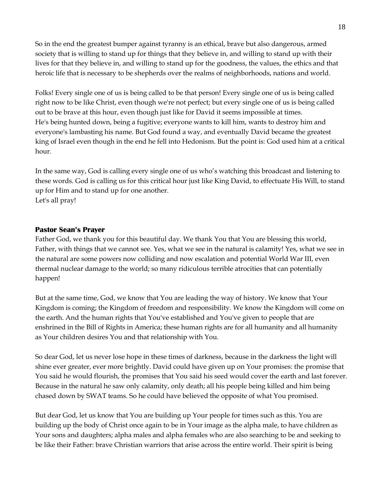So in the end the greatest bumper against tyranny is an ethical, brave but also dangerous, armed society that is willing to stand up for things that they believe in, and willing to stand up with their lives for that they believe in, and willing to stand up for the goodness, the values, the ethics and that heroic life that is necessary to be shepherds over the realms of neighborhoods, nations and world.

Folks! Every single one of us is being called to be that person! Every single one of us is being called right now to be like Christ, even though we're not perfect; but every single one of us is being called out to be brave at this hour, even though just like for David it seems impossible at times. He's being hunted down, being a fugitive; everyone wants to kill him, wants to destroy him and everyone's lambasting his name. But God found a way, and eventually David became the greatest king of Israel even though in the end he fell into Hedonism. But the point is: God used him at a critical hour.

In the same way, God is calling every single one of us who's watching this broadcast and listening to these words. God is calling us for this critical hour just like King David, to effectuate His Will, to stand up for Him and to stand up for one another. Let's all pray!

### **Pastor Sean's Prayer**

Father God, we thank you for this beautiful day. We thank You that You are blessing this world, Father, with things that we cannot see. Yes, what we see in the natural is calamity! Yes, what we see in the natural are some powers now colliding and now escalation and potential World War III, even thermal nuclear damage to the world; so many ridiculous terrible atrocities that can potentially happen!

But at the same time, God, we know that You are leading the way of history. We know that Your Kingdom is coming; the Kingdom of freedom and responsibility. We know the Kingdom will come on the earth. And the human rights that You've established and You've given to people that are enshrined in the Bill of Rights in America; these human rights are for all humanity and all humanity as Your children desires You and that relationship with You.

So dear God, let us never lose hope in these times of darkness, because in the darkness the light will shine ever greater, ever more brightly. David could have given up on Your promises: the promise that You said he would flourish, the promises that You said his seed would cover the earth and last forever. Because in the natural he saw only calamity, only death; all his people being killed and him being chased down by SWAT teams. So he could have believed the opposite of what You promised.

But dear God, let us know that You are building up Your people for times such as this. You are building up the body of Christ once again to be in Your image as the alpha male, to have children as Your sons and daughters; alpha males and alpha females who are also searching to be and seeking to be like their Father: brave Christian warriors that arise across the entire world. Their spirit is being